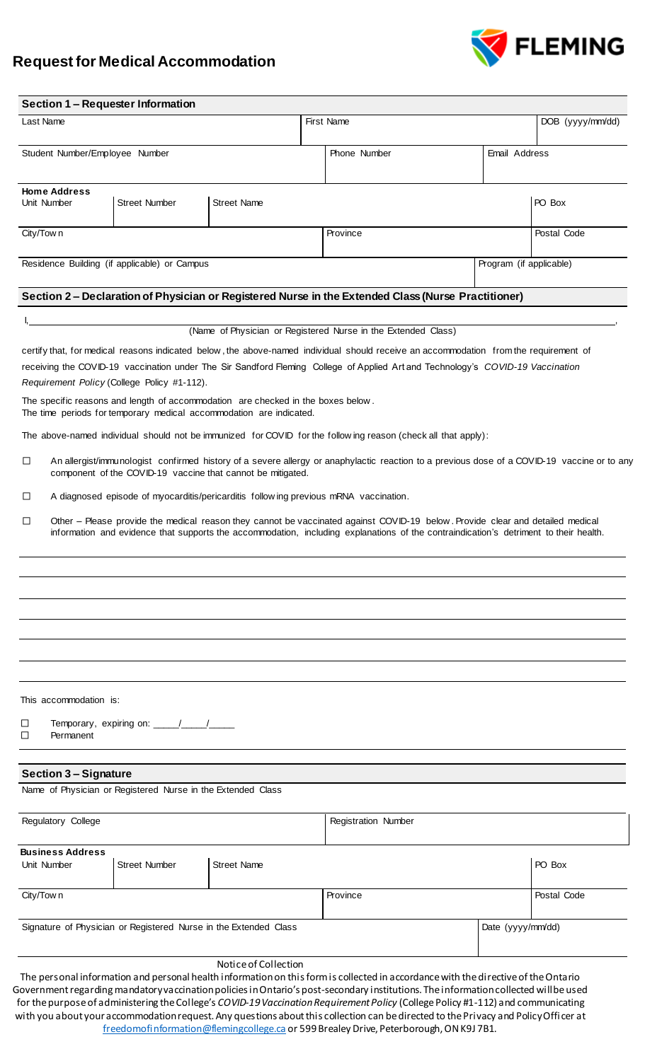## **Request for Medical Accommodation**



|                                                                                  |                                                                                                                                                                                                            | Section 1 - Requester Information                           |                                                                                                                                                                                                                                                                                                                                                                                                                                    |  |                            |                  |                         |             |  |
|----------------------------------------------------------------------------------|------------------------------------------------------------------------------------------------------------------------------------------------------------------------------------------------------------|-------------------------------------------------------------|------------------------------------------------------------------------------------------------------------------------------------------------------------------------------------------------------------------------------------------------------------------------------------------------------------------------------------------------------------------------------------------------------------------------------------|--|----------------------------|------------------|-------------------------|-------------|--|
| Last Name                                                                        |                                                                                                                                                                                                            |                                                             |                                                                                                                                                                                                                                                                                                                                                                                                                                    |  | <b>First Name</b>          | DOB (yyyy/mm/dd) |                         |             |  |
| Student Number/Employee Number                                                   |                                                                                                                                                                                                            |                                                             |                                                                                                                                                                                                                                                                                                                                                                                                                                    |  | Phone Number               |                  | Email Address           |             |  |
| <b>Home Address</b><br><b>Street Number</b><br><b>Street Name</b><br>Unit Number |                                                                                                                                                                                                            |                                                             |                                                                                                                                                                                                                                                                                                                                                                                                                                    |  |                            |                  |                         | PO Box      |  |
| City/Town                                                                        |                                                                                                                                                                                                            |                                                             |                                                                                                                                                                                                                                                                                                                                                                                                                                    |  | Province                   |                  |                         | Postal Code |  |
|                                                                                  |                                                                                                                                                                                                            | Residence Building (if applicable) or Campus                |                                                                                                                                                                                                                                                                                                                                                                                                                                    |  |                            |                  | Program (if applicable) |             |  |
|                                                                                  |                                                                                                                                                                                                            |                                                             | Section 2 - Declaration of Physician or Registered Nurse in the Extended Class (Nurse Practitioner)                                                                                                                                                                                                                                                                                                                                |  |                            |                  |                         |             |  |
|                                                                                  |                                                                                                                                                                                                            |                                                             | (Name of Physician or Registered Nurse in the Extended Class)                                                                                                                                                                                                                                                                                                                                                                      |  |                            |                  |                         |             |  |
|                                                                                  |                                                                                                                                                                                                            | Requirement Policy (College Policy #1-112).                 | certify that, for medical reasons indicated below, the above-named individual should receive an accommodation from the requirement of<br>receiving the COVID-19 vaccination under The Sir Sandford Fleming College of Applied Art and Technology's COVID-19 Vaccination<br>The specific reasons and length of accommodation are checked in the boxes below.<br>The time periods for temporary medical accommodation are indicated. |  |                            |                  |                         |             |  |
|                                                                                  |                                                                                                                                                                                                            |                                                             | The above-named individual should not be immunized for COVID for the following reason (check all that apply):                                                                                                                                                                                                                                                                                                                      |  |                            |                  |                         |             |  |
| $\Box$                                                                           | An allergist/immunologist confirmed history of a severe allergy or anaphylactic reaction to a previous dose of a COVID-19 vaccine or to any<br>component of the COVID-19 vaccine that cannot be mitigated. |                                                             |                                                                                                                                                                                                                                                                                                                                                                                                                                    |  |                            |                  |                         |             |  |
| $\Box$                                                                           | A diagnosed episode of myocarditis/pericarditis follow ing previous mRNA vaccination.                                                                                                                      |                                                             |                                                                                                                                                                                                                                                                                                                                                                                                                                    |  |                            |                  |                         |             |  |
|                                                                                  |                                                                                                                                                                                                            |                                                             | information and evidence that supports the accommodation, including explanations of the contraindication's detriment to their health.                                                                                                                                                                                                                                                                                              |  |                            |                  |                         |             |  |
|                                                                                  |                                                                                                                                                                                                            |                                                             |                                                                                                                                                                                                                                                                                                                                                                                                                                    |  |                            |                  |                         |             |  |
|                                                                                  | This accommodation is:                                                                                                                                                                                     |                                                             |                                                                                                                                                                                                                                                                                                                                                                                                                                    |  |                            |                  |                         |             |  |
| ப                                                                                | Permanent                                                                                                                                                                                                  | Temporary, expiring on: \\square\\sqrt{\mid{math}}\$        |                                                                                                                                                                                                                                                                                                                                                                                                                                    |  |                            |                  |                         |             |  |
|                                                                                  | <b>Section 3 - Signature</b>                                                                                                                                                                               | Name of Physician or Registered Nurse in the Extended Class |                                                                                                                                                                                                                                                                                                                                                                                                                                    |  |                            |                  |                         |             |  |
| Regulatory College                                                               |                                                                                                                                                                                                            |                                                             |                                                                                                                                                                                                                                                                                                                                                                                                                                    |  | <b>Registration Number</b> |                  |                         |             |  |
| Unit Number                                                                      | <b>Business Address</b>                                                                                                                                                                                    | <b>Street Number</b>                                        | <b>Street Name</b>                                                                                                                                                                                                                                                                                                                                                                                                                 |  |                            |                  |                         | PO Box      |  |
| City/Town                                                                        |                                                                                                                                                                                                            |                                                             |                                                                                                                                                                                                                                                                                                                                                                                                                                    |  | Province                   |                  |                         | Postal Code |  |
| Signature of Physician or Registered Nurse in the Extended Class                 |                                                                                                                                                                                                            |                                                             |                                                                                                                                                                                                                                                                                                                                                                                                                                    |  |                            |                  | Date (yyyy/mm/dd)       |             |  |

## Notice of Collection

The personal information and personal health informationon this form is collected in accordance with the directive of the Ontario Government regarding mandatory vaccination policies in Ontario's post-secondary institutions. The information collected will be used for the purpose of administering the College's *COVID-19 Vaccination Requirement Policy* (College Policy #1-112) and communicating with you about your accommodation request. Any questions about this collection can be directed to the Privacy and Policy Offi cer at [freedomofinformation@flemingcollege.ca](mailto:freedomofinformation@flemingcollege.ca) or 599 Brealey Drive, Peterborough, ON K9J 7B1.